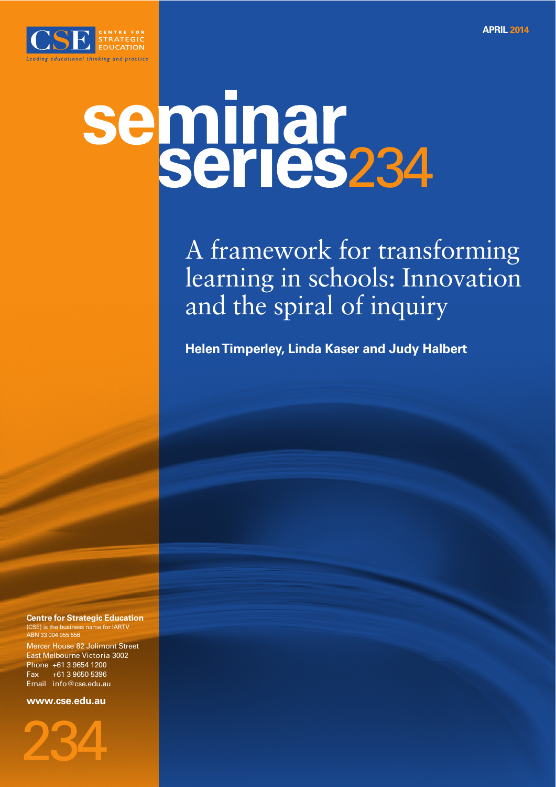

# seminar<br>Series234

A framework for transforming learning in schools: Innovation and the spiral of inquiry

**Helen Timperley, Linda Kaser and Judy Halbert**

**Centre for Strategic Education** (CSE) is the business name for IARTV ABN 33 004 055 55

Mercer House 82 Jolimont Street East Melbourne Victoria 3002 Phone +61 3 9654 1200 Fax +61 3 9650 5396 Email info@cse.edu.au

**www.cse.edu.au**

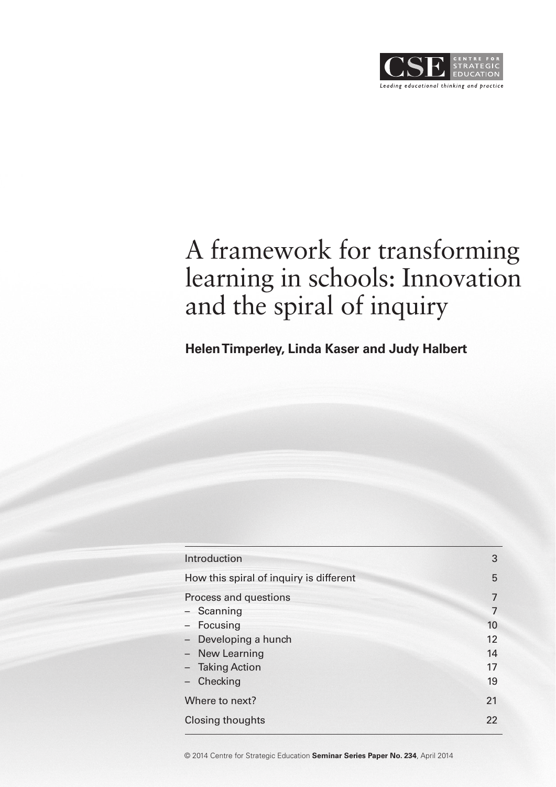

# A framework for transforming learning in schools: Innovation and the spiral of inquiry

**Helen Timperley, Linda Kaser and Judy Halbert**

| Introduction                            | 3  |
|-----------------------------------------|----|
| How this spiral of inquiry is different | 5  |
| Process and questions                   | 7  |
| - Scanning                              | 7  |
| - Focusing                              | 10 |
| - Developing a hunch                    | 12 |
| - New Learning                          | 14 |
| - Taking Action                         | 17 |
| Checking                                | 19 |
| Where to next?                          | 21 |
| <b>Closing thoughts</b>                 | 22 |

© 2014 Centre for Strategic Education **Seminar Series Paper No. 234**, April 2014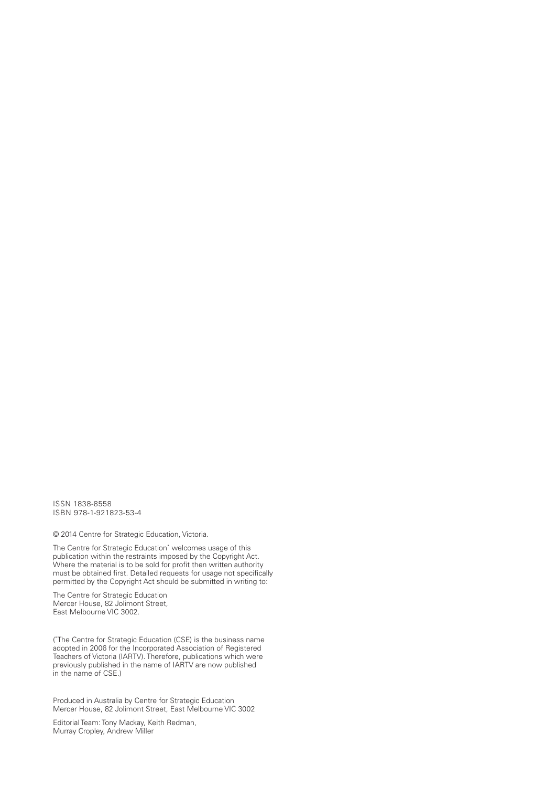ISSN 1838-8558 ISBN 978-1-921823-53-4

© 2014 Centre for Strategic Education, Victoria.

The Centre for Strategic Education\* welcomes usage of this publication within the restraints imposed by the Copyright Act. Where the material is to be sold for profit then written authority must be obtained first. Detailed requests for usage not specifically permitted by the Copyright Act should be submitted in writing to:

The Centre for Strategic Education Mercer House, 82 Jolimont Street, East Melbourne VIC 3002

( \* The Centre for Strategic Education (CSE) is the business name adopted in 2006 for the Incorporated Association of Registered Teachers of Victoria (IARTV). Therefore, publications which were previously published in the name of IARTV are now published in the name of CSE.)

Produced in Australia by Centre for Strategic Education Mercer House, 82 Jolimont Street, East Melbourne VIC 3002

Editorial Team: Tony Mackay, Keith Redman, Murray Cropley, Andrew Miller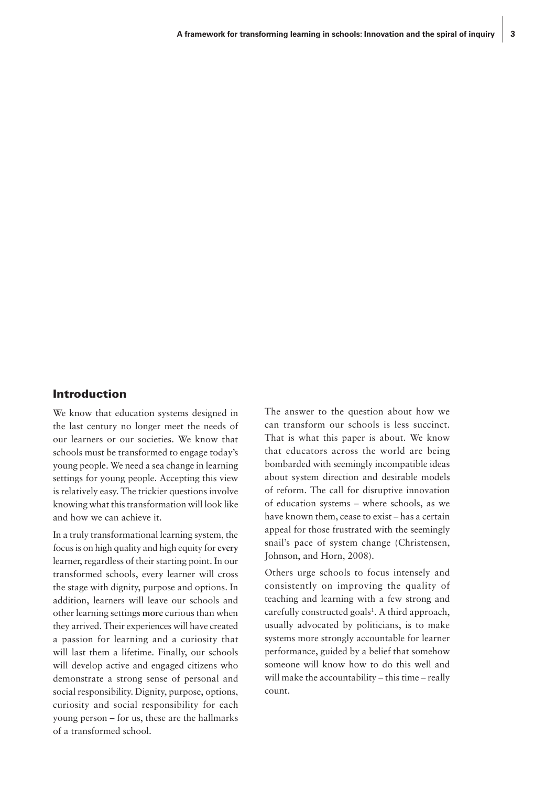#### Introduction

We know that education systems designed in the last century no longer meet the needs of our learners or our societies. We know that schools must be transformed to engage today's young people. We need a sea change in learning settings for young people. Accepting this view is relatively easy. The trickier questions involve knowing what this transformation will look like and how we can achieve it.

In a truly transformational learning system, the focus is on high quality and high equity for **every** learner, regardless of their starting point. In our transformed schools, every learner will cross the stage with dignity, purpose and options. In addition, learners will leave our schools and other learning settings **more** curious than when they arrived. Their experiences will have created a passion for learning and a curiosity that will last them a lifetime. Finally, our schools will develop active and engaged citizens who demonstrate a strong sense of personal and social responsibility. Dignity, purpose, options, curiosity and social responsibility for each young person – for us, these are the hallmarks of a transformed school.

The answer to the question about how we can transform our schools is less succinct. That is what this paper is about. We know that educators across the world are being bombarded with seemingly incompatible ideas about system direction and desirable models of reform. The call for disruptive innovation of education systems – where schools, as we have known them, cease to exist – has a certain appeal for those frustrated with the seemingly snail's pace of system change (Christensen, Johnson, and Horn, 2008).

Others urge schools to focus intensely and consistently on improving the quality of teaching and learning with a few strong and carefully constructed goals<sup>1</sup>. A third approach, usually advocated by politicians, is to make systems more strongly accountable for learner performance, guided by a belief that somehow someone will know how to do this well and will make the accountability – this time – really count.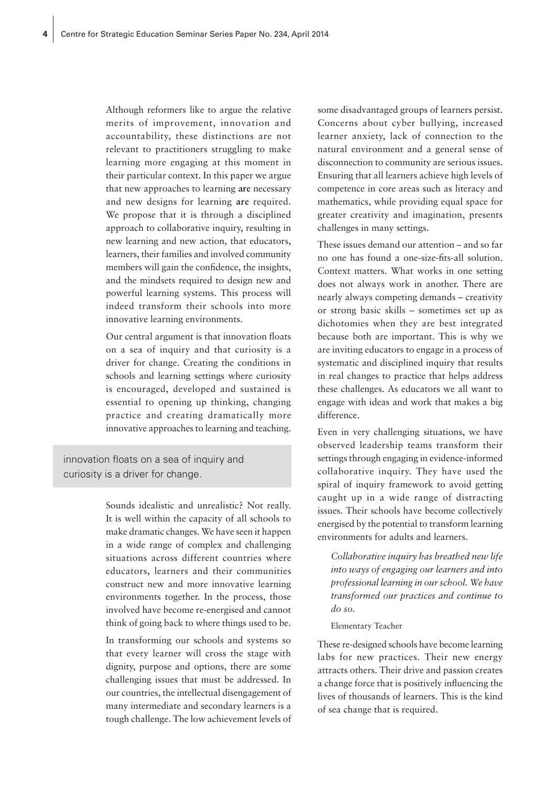Although reformers like to argue the relative merits of improvement, innovation and accountability, these distinctions are not relevant to practitioners struggling to make learning more engaging at this moment in their particular context. In this paper we argue that new approaches to learning **are** necessary and new designs for learning **are** required. We propose that it is through a disciplined approach to collaborative inquiry, resulting in new learning and new action, that educators, learners, their families and involved community members will gain the confidence, the insights, and the mindsets required to design new and powerful learning systems. This process will indeed transform their schools into more innovative learning environments.

Our central argument is that innovation floats on a sea of inquiry and that curiosity is a driver for change. Creating the conditions in schools and learning settings where curiosity is encouraged, developed and sustained is essential to opening up thinking, changing practice and creating dramatically more innovative approaches to learning and teaching.

innovation floats on a sea of inquiry and curiosity is a driver for change.

> Sounds idealistic and unrealistic? Not really. It is well within the capacity of all schools to make dramatic changes. We have seen it happen in a wide range of complex and challenging situations across different countries where educators, learners and their communities construct new and more innovative learning environments together. In the process, those involved have become re-energised and cannot think of going back to where things used to be.

> In transforming our schools and systems so that every learner will cross the stage with dignity, purpose and options, there are some challenging issues that must be addressed. In our countries, the intellectual disengagement of many intermediate and secondary learners is a tough challenge. The low achievement levels of

some disadvantaged groups of learners persist. Concerns about cyber bullying, increased learner anxiety, lack of connection to the natural environment and a general sense of disconnection to community are serious issues. Ensuring that all learners achieve high levels of competence in core areas such as literacy and mathematics, while providing equal space for greater creativity and imagination, presents challenges in many settings.

These issues demand our attention – and so far no one has found a one-size-fits-all solution. Context matters. What works in one setting does not always work in another. There are nearly always competing demands – creativity or strong basic skills – sometimes set up as dichotomies when they are best integrated because both are important. This is why we are inviting educators to engage in a process of systematic and disciplined inquiry that results in real changes to practice that helps address these challenges. As educators we all want to engage with ideas and work that makes a big difference.

Even in very challenging situations, we have observed leadership teams transform their settings through engaging in evidence-informed collaborative inquiry. They have used the spiral of inquiry framework to avoid getting caught up in a wide range of distracting issues. Their schools have become collectively energised by the potential to transform learning environments for adults and learners.

*Collaborative inquiry has breathed new life into ways of engaging our learners and into professional learning in our school. We have transformed our practices and continue to do so.* 

#### Elementary Teacher

These re-designed schools have become learning labs for new practices. Their new energy attracts others. Their drive and passion creates a change force that is positively influencing the lives of thousands of learners. This is the kind of sea change that is required.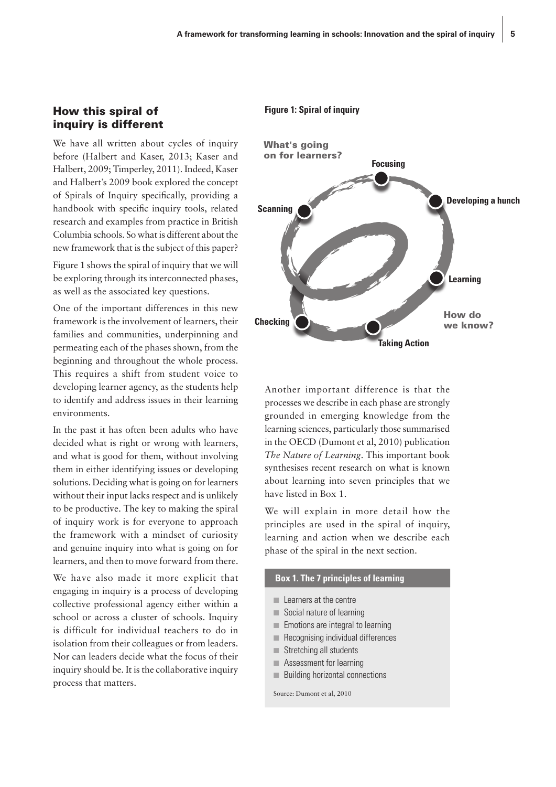#### How this spiral of inquiry is different

We have all written about cycles of inquiry before (Halbert and Kaser, 2013; Kaser and Halbert, 2009; Timperley, 2011). Indeed, Kaser and Halbert's 2009 book explored the concept of Spirals of Inquiry specifically, providing a handbook with specific inquiry tools, related research and examples from practice in British Columbia schools. So what is different about the new framework that is the subject of this paper?

Figure 1 shows the spiral of inquiry that we will be exploring through its interconnected phases, as well as the associated key questions.

One of the important differences in this new framework is the involvement of learners, their families and communities, underpinning and permeating each of the phases shown, from the beginning and throughout the whole process. This requires a shift from student voice to developing learner agency, as the students help to identify and address issues in their learning environments.

In the past it has often been adults who have decided what is right or wrong with learners, and what is good for them, without involving them in either identifying issues or developing solutions. Deciding what is going on for learners without their input lacks respect and is unlikely to be productive. The key to making the spiral of inquiry work is for everyone to approach the framework with a mindset of curiosity and genuine inquiry into what is going on for learners, and then to move forward from there.

We have also made it more explicit that engaging in inquiry is a process of developing collective professional agency either within a school or across a cluster of schools. Inquiry is difficult for individual teachers to do in isolation from their colleagues or from leaders. Nor can leaders decide what the focus of their inquiry should be. It is the collaborative inquiry process that matters.

#### **Figure 1: Spiral of inquiry**



Another important difference is that the processes we describe in each phase are strongly grounded in emerging knowledge from the learning sciences, particularly those summarised in the OECD (Dumont et al, 2010) publication *The Nature of Learning*. This important book synthesises recent research on what is known about learning into seven principles that we have listed in Box 1.

We will explain in more detail how the principles are used in the spiral of inquiry, learning and action when we describe each phase of the spiral in the next section.

#### **Box 1. The 7 principles of learning**

- Learners at the centre
- Social nature of learning
- Emotions are integral to learning
- Recognising individual differences
- Stretching all students
- Assessment for learning
- Building horizontal connections

Source: Dumont et al, 2010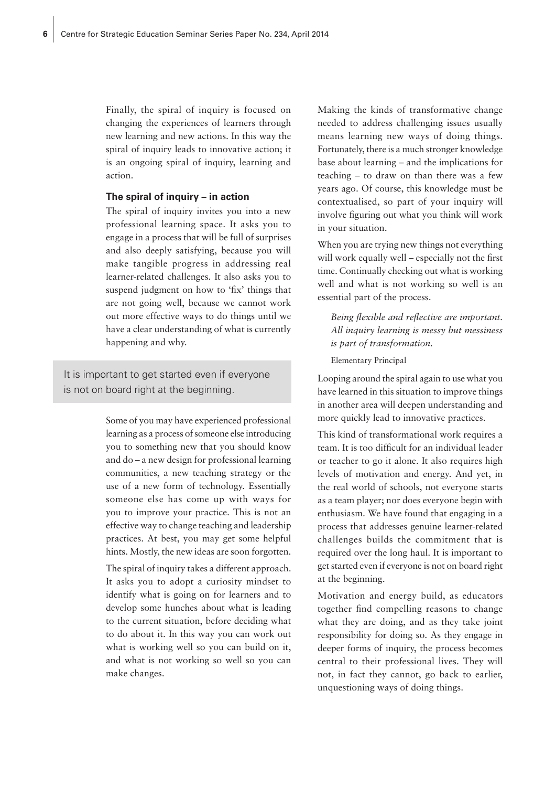Finally, the spiral of inquiry is focused on changing the experiences of learners through new learning and new actions. In this way the spiral of inquiry leads to innovative action; it is an ongoing spiral of inquiry, learning and action.

#### **The spiral of inquiry – in action**

The spiral of inquiry invites you into a new professional learning space. It asks you to engage in a process that will be full of surprises and also deeply satisfying, because you will make tangible progress in addressing real learner-related challenges. It also asks you to suspend judgment on how to 'fix' things that are not going well, because we cannot work out more effective ways to do things until we have a clear understanding of what is currently happening and why.

It is important to get started even if everyone is not on board right at the beginning.

> Some of you may have experienced professional learning as a process of someone else introducing you to something new that you should know and do – a new design for professional learning communities, a new teaching strategy or the use of a new form of technology. Essentially someone else has come up with ways for you to improve your practice. This is not an effective way to change teaching and leadership practices. At best, you may get some helpful hints. Mostly, the new ideas are soon forgotten.

> The spiral of inquiry takes a different approach. It asks you to adopt a curiosity mindset to identify what is going on for learners and to develop some hunches about what is leading to the current situation, before deciding what to do about it. In this way you can work out what is working well so you can build on it, and what is not working so well so you can make changes.

Making the kinds of transformative change needed to address challenging issues usually means learning new ways of doing things. Fortunately, there is a much stronger knowledge base about learning – and the implications for teaching – to draw on than there was a few years ago. Of course, this knowledge must be contextualised, so part of your inquiry will involve figuring out what you think will work in your situation.

When you are trying new things not everything will work equally well – especially not the first time. Continually checking out what is working well and what is not working so well is an essential part of the process.

*Being flexible and reflective are important. All inquiry learning is messy but messiness is part of transformation.*

Elementary Principal

Looping around the spiral again to use what you have learned in this situation to improve things in another area will deepen understanding and more quickly lead to innovative practices.

This kind of transformational work requires a team. It is too difficult for an individual leader or teacher to go it alone. It also requires high levels of motivation and energy. And yet, in the real world of schools, not everyone starts as a team player; nor does everyone begin with enthusiasm. We have found that engaging in a process that addresses genuine learner-related challenges builds the commitment that is required over the long haul. It is important to get started even if everyone is not on board right at the beginning.

Motivation and energy build, as educators together find compelling reasons to change what they are doing, and as they take joint responsibility for doing so. As they engage in deeper forms of inquiry, the process becomes central to their professional lives. They will not, in fact they cannot, go back to earlier, unquestioning ways of doing things.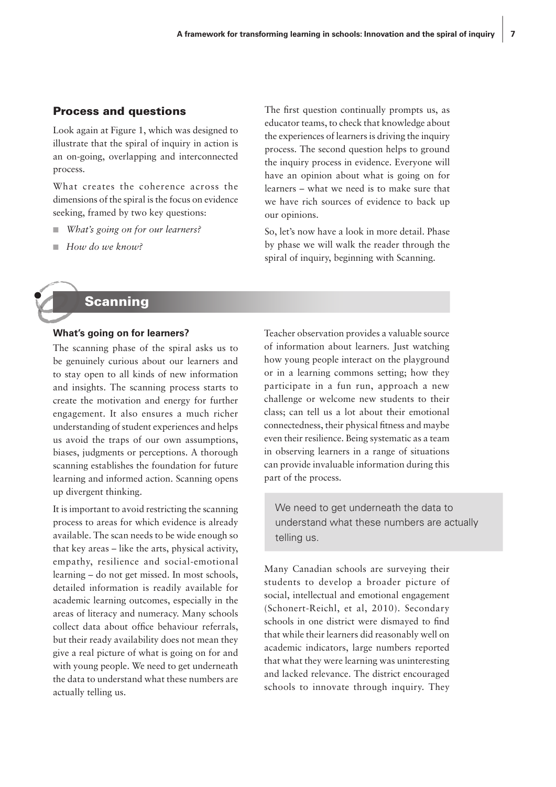#### Process and questions

Look again at Figure 1, which was designed to illustrate that the spiral of inquiry in action is an on-going, overlapping and interconnected process.

What creates the coherence across the dimensions of the spiral is the focus on evidence seeking, framed by two key questions:

- *What's going on for our learners?*
- *How do we know?*

The first question continually prompts us, as educator teams, to check that knowledge about the experiences of learners is driving the inquiry process. The second question helps to ground the inquiry process in evidence. Everyone will have an opinion about what is going on for learners – what we need is to make sure that we have rich sources of evidence to back up our opinions.

So, let's now have a look in more detail. Phase by phase we will walk the reader through the spiral of inquiry, beginning with Scanning.



#### **What's going on for learners?**

The scanning phase of the spiral asks us to be genuinely curious about our learners and to stay open to all kinds of new information and insights. The scanning process starts to create the motivation and energy for further engagement. It also ensures a much richer understanding of student experiences and helps us avoid the traps of our own assumptions, biases, judgments or perceptions. A thorough scanning establishes the foundation for future learning and informed action. Scanning opens up divergent thinking.

It is important to avoid restricting the scanning process to areas for which evidence is already available. The scan needs to be wide enough so that key areas – like the arts, physical activity, empathy, resilience and social-emotional learning – do not get missed. In most schools, detailed information is readily available for academic learning outcomes, especially in the areas of literacy and numeracy. Many schools collect data about office behaviour referrals, but their ready availability does not mean they give a real picture of what is going on for and with young people. We need to get underneath the data to understand what these numbers are actually telling us.

Teacher observation provides a valuable source of information about learners. Just watching how young people interact on the playground or in a learning commons setting; how they participate in a fun run, approach a new challenge or welcome new students to their class; can tell us a lot about their emotional connectedness, their physical fitness and maybe even their resilience. Being systematic as a team in observing learners in a range of situations can provide invaluable information during this part of the process.

We need to get underneath the data to understand what these numbers are actually telling us.

Many Canadian schools are surveying their students to develop a broader picture of social, intellectual and emotional engagement (Schonert-Reichl, et al, 2010). Secondary schools in one district were dismayed to find that while their learners did reasonably well on academic indicators, large numbers reported that what they were learning was uninteresting and lacked relevance. The district encouraged schools to innovate through inquiry. They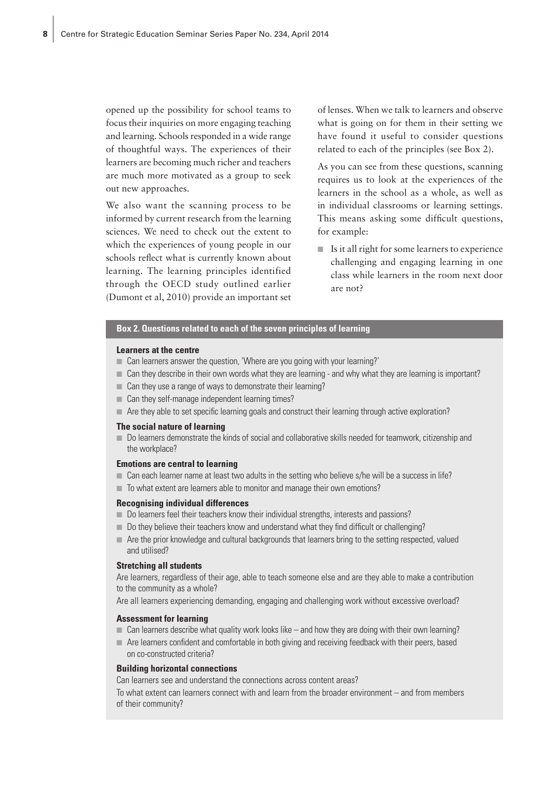opened up the possibility for school teams to focus their inquiries on more engaging teaching and learning. Schools responded in a wide range of thoughtful ways. The experiences of their learners are becoming much richer and teachers are much more motivated as a group to seek out new approaches.

We also want the scanning process to be informed by current research from the learning sciences. We need to check out the extent to which the experiences of young people in our schools reflect what is currently known about learning. The learning principles identified through the OECD study outlined earlier (Dumont et al, 2010) provide an important set of lenses. When we talk to learners and observe what is going on for them in their setting we have found it useful to consider questions related to each of the principles (see Box 2).

As you can see from these questions, scanning requires us to look at the experiences of the learners in the school as a whole, as well as in individual classrooms or learning settings. This means asking some difficult questions, for example:

■ Is it all right for some learners to experience challenging and engaging learning in one class while learners in the room next door are not?

#### **Box 2. Questions related to each of the seven principles of learning**

#### **Learners at the centre**

- Can learners answer the question, 'Where are you going with your learning?'
- Can they describe in their own words what they are learning and why what they are learning is important?
- Can they use a range of ways to demonstrate their learning?
- Can they self-manage independent learning times?
- Are they able to set specific learning goals and construct their learning through active exploration?

#### **The social nature of learning**

■ Do learners demonstrate the kinds of social and collaborative skills needed for teamwork, citizenship and the workplace?

#### **Emotions are central to learning**

- Can each learner name at least two adults in the setting who believe s/he will be a success in life?
- To what extent are learners able to monitor and manage their own emotions?

#### **Recognising individual differences**

- Do learners feel their teachers know their individual strengths, interests and passions?
- Do they believe their teachers know and understand what they find difficult or challenging?
- Are the prior knowledge and cultural backgrounds that learners bring to the setting respected, valued and utilised?

#### **Stretching all students**

Are learners, regardless of their age, able to teach someone else and are they able to make a contribution to the community as a whole?

Are all learners experiencing demanding, engaging and challenging work without excessive overload?

#### **Assessment for learning**

- $\Box$  Can learners describe what quality work looks like and how they are doing with their own learning?
- Are learners confident and comfortable in both giving and receiving feedback with their peers, based on co-constructed criteria?

#### **Building horizontal connections**

Can learners see and understand the connections across content areas?

To what extent can learners connect with and learn from the broader environment – and from members of their community?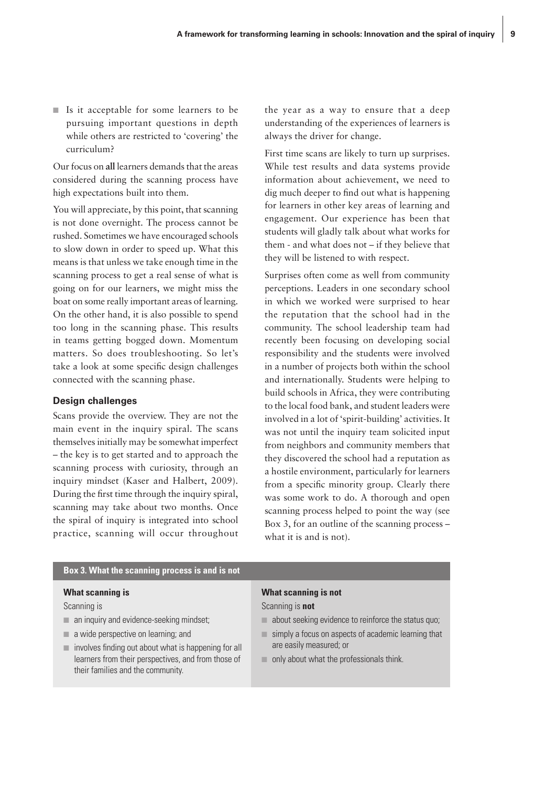■ Is it acceptable for some learners to be pursuing important questions in depth while others are restricted to 'covering' the curriculum?

Our focus on **all** learners demands that the areas considered during the scanning process have high expectations built into them.

You will appreciate, by this point, that scanning is not done overnight. The process cannot be rushed. Sometimes we have encouraged schools to slow down in order to speed up. What this means is that unless we take enough time in the scanning process to get a real sense of what is going on for our learners, we might miss the boat on some really important areas of learning. On the other hand, it is also possible to spend too long in the scanning phase. This results in teams getting bogged down. Momentum matters. So does troubleshooting. So let's take a look at some specific design challenges connected with the scanning phase.

#### **Design challenges**

Scans provide the overview. They are not the main event in the inquiry spiral. The scans themselves initially may be somewhat imperfect – the key is to get started and to approach the scanning process with curiosity, through an inquiry mindset (Kaser and Halbert, 2009). During the first time through the inquiry spiral, scanning may take about two months. Once the spiral of inquiry is integrated into school practice, scanning will occur throughout the year as a way to ensure that a deep understanding of the experiences of learners is always the driver for change.

First time scans are likely to turn up surprises. While test results and data systems provide information about achievement, we need to dig much deeper to find out what is happening for learners in other key areas of learning and engagement. Our experience has been that students will gladly talk about what works for them - and what does not – if they believe that they will be listened to with respect.

Surprises often come as well from community perceptions. Leaders in one secondary school in which we worked were surprised to hear the reputation that the school had in the community. The school leadership team had recently been focusing on developing social responsibility and the students were involved in a number of projects both within the school and internationally. Students were helping to build schools in Africa, they were contributing to the local food bank, and student leaders were involved in a lot of 'spirit-building' activities. It was not until the inquiry team solicited input from neighbors and community members that they discovered the school had a reputation as a hostile environment, particularly for learners from a specific minority group. Clearly there was some work to do. A thorough and open scanning process helped to point the way (see Box 3, for an outline of the scanning process – what it is and is not).

#### **Box 3. What the scanning process is and is not**

#### **What scanning is**

Scanning is

- an inquiry and evidence-seeking mindset:
- a wide perspective on learning; and
- $\blacksquare$  involves finding out about what is happening for all learners from their perspectives, and from those of their families and the community.

#### **What scanning is not**

Scanning is **not**

- $\blacksquare$  about seeking evidence to reinforce the status quo:
- $\blacksquare$  simply a focus on aspects of academic learning that are easily measured; or
- only about what the professionals think.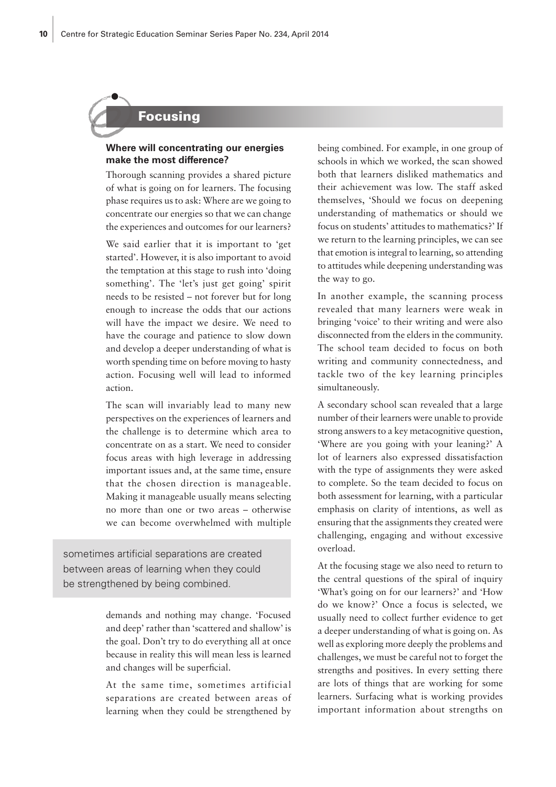# Focusing

#### **Where will concentrating our energies make the most difference?**

Thorough scanning provides a shared picture of what is going on for learners. The focusing phase requires us to ask: Where are we going to concentrate our energies so that we can change the experiences and outcomes for our learners?

We said earlier that it is important to 'get started'. However, it is also important to avoid the temptation at this stage to rush into 'doing something'. The 'let's just get going' spirit needs to be resisted – not forever but for long enough to increase the odds that our actions will have the impact we desire. We need to have the courage and patience to slow down and develop a deeper understanding of what is worth spending time on before moving to hasty action. Focusing well will lead to informed action.

The scan will invariably lead to many new perspectives on the experiences of learners and the challenge is to determine which area to concentrate on as a start. We need to consider focus areas with high leverage in addressing important issues and, at the same time, ensure that the chosen direction is manageable. Making it manageable usually means selecting no more than one or two areas – otherwise we can become overwhelmed with multiple

sometimes artificial separations are created between areas of learning when they could be strengthened by being combined.

> demands and nothing may change. 'Focused and deep' rather than 'scattered and shallow' is the goal. Don't try to do everything all at once because in reality this will mean less is learned and changes will be superficial.

> At the same time, sometimes artificial separations are created between areas of learning when they could be strengthened by

being combined. For example, in one group of schools in which we worked, the scan showed both that learners disliked mathematics and their achievement was low. The staff asked themselves, 'Should we focus on deepening understanding of mathematics or should we focus on students' attitudes to mathematics?' If we return to the learning principles, we can see that emotion is integral to learning, so attending to attitudes while deepening understanding was the way to go.

In another example, the scanning process revealed that many learners were weak in bringing 'voice' to their writing and were also disconnected from the elders in the community. The school team decided to focus on both writing and community connectedness, and tackle two of the key learning principles simultaneously.

A secondary school scan revealed that a large number of their learners were unable to provide strong answers to a key metacognitive question, 'Where are you going with your leaning?' A lot of learners also expressed dissatisfaction with the type of assignments they were asked to complete. So the team decided to focus on both assessment for learning, with a particular emphasis on clarity of intentions, as well as ensuring that the assignments they created were challenging, engaging and without excessive overload.

At the focusing stage we also need to return to the central questions of the spiral of inquiry 'What's going on for our learners?' and 'How do we know?' Once a focus is selected, we usually need to collect further evidence to get a deeper understanding of what is going on. As well as exploring more deeply the problems and challenges, we must be careful not to forget the strengths and positives. In every setting there are lots of things that are working for some learners. Surfacing what is working provides important information about strengths on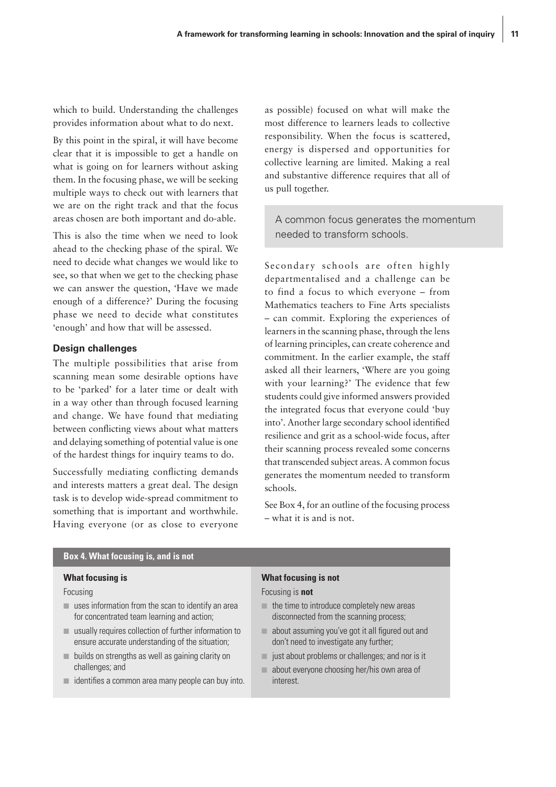which to build. Understanding the challenges provides information about what to do next.

By this point in the spiral, it will have become clear that it is impossible to get a handle on what is going on for learners without asking them. In the focusing phase, we will be seeking multiple ways to check out with learners that we are on the right track and that the focus areas chosen are both important and do-able.

This is also the time when we need to look ahead to the checking phase of the spiral. We need to decide what changes we would like to see, so that when we get to the checking phase we can answer the question, 'Have we made enough of a difference?' During the focusing phase we need to decide what constitutes 'enough' and how that will be assessed.

#### **Design challenges**

The multiple possibilities that arise from scanning mean some desirable options have to be 'parked' for a later time or dealt with in a way other than through focused learning and change. We have found that mediating between conflicting views about what matters and delaying something of potential value is one of the hardest things for inquiry teams to do.

Successfully mediating conflicting demands and interests matters a great deal. The design task is to develop wide-spread commitment to something that is important and worthwhile. Having everyone (or as close to everyone as possible) focused on what will make the most difference to learners leads to collective responsibility. When the focus is scattered, energy is dispersed and opportunities for collective learning are limited. Making a real and substantive difference requires that all of us pull together.

A common focus generates the momentum needed to transform schools.

Secondary schools are often highly departmentalised and a challenge can be to find a focus to which everyone – from Mathematics teachers to Fine Arts specialists – can commit. Exploring the experiences of learners in the scanning phase, through the lens of learning principles, can create coherence and commitment. In the earlier example, the staff asked all their learners, 'Where are you going with your learning?' The evidence that few students could give informed answers provided the integrated focus that everyone could 'buy into'. Another large secondary school identified resilience and grit as a school-wide focus, after their scanning process revealed some concerns that transcended subject areas. A common focus generates the momentum needed to transform schools.

See Box 4, for an outline of the focusing process – what it is and is not.

#### **Box 4. What focusing is, and is not**

#### **What focusing is**

Focusing

- $\blacksquare$  uses information from the scan to identify an area for concentrated team learning and action;
- usually requires collection of further information to ensure accurate understanding of the situation;
- builds on strengths as well as gaining clarity on challenges; and
- identifies a common area many people can buy into.

#### **What focusing is not**

Focusing is **not**

- $\blacksquare$  the time to introduce completely new areas disconnected from the scanning process;
- about assuming you've got it all figured out and don't need to investigate any further;
- $\blacksquare$  just about problems or challenges; and nor is it
- about everyone choosing her/his own area of interest.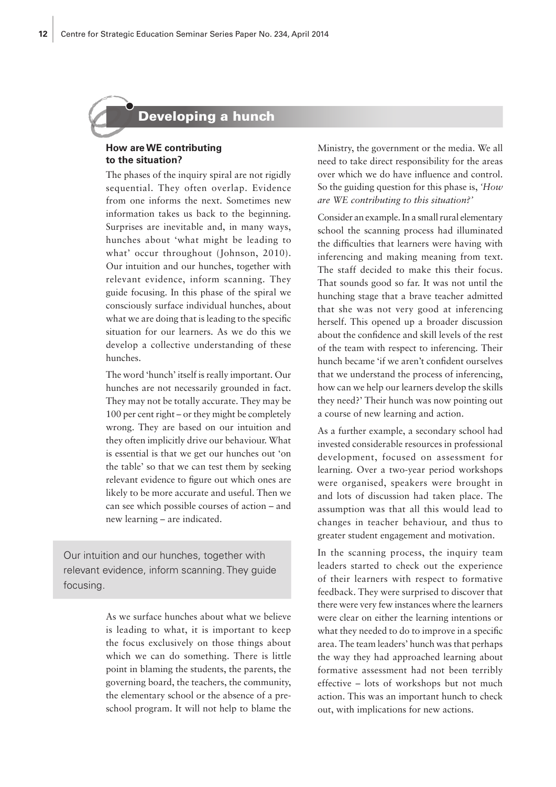# Developing a hunch

#### **How are WE contributing to the situation?**

The phases of the inquiry spiral are not rigidly sequential. They often overlap. Evidence from one informs the next. Sometimes new information takes us back to the beginning. Surprises are inevitable and, in many ways, hunches about 'what might be leading to what' occur throughout (Johnson, 2010). Our intuition and our hunches, together with relevant evidence, inform scanning. They guide focusing. In this phase of the spiral we consciously surface individual hunches, about what we are doing that is leading to the specific situation for our learners. As we do this we develop a collective understanding of these hunches.

The word 'hunch' itself is really important. Our hunches are not necessarily grounded in fact. They may not be totally accurate. They may be 100 per cent right – or they might be completely wrong. They are based on our intuition and they often implicitly drive our behaviour. What is essential is that we get our hunches out 'on the table' so that we can test them by seeking relevant evidence to figure out which ones are likely to be more accurate and useful. Then we can see which possible courses of action – and new learning – are indicated.

Our intuition and our hunches, together with relevant evidence, inform scanning. They guide focusing.

> As we surface hunches about what we believe is leading to what, it is important to keep the focus exclusively on those things about which we can do something. There is little point in blaming the students, the parents, the governing board, the teachers, the community, the elementary school or the absence of a preschool program. It will not help to blame the

Ministry, the government or the media. We all need to take direct responsibility for the areas over which we do have influence and control. So the guiding question for this phase is, *'How are WE contributing to this situation?'*

Consider an example. In a small rural elementary school the scanning process had illuminated the difficulties that learners were having with inferencing and making meaning from text. The staff decided to make this their focus. That sounds good so far. It was not until the hunching stage that a brave teacher admitted that she was not very good at inferencing herself. This opened up a broader discussion about the confidence and skill levels of the rest of the team with respect to inferencing. Their hunch became 'if we aren't confident ourselves that we understand the process of inferencing, how can we help our learners develop the skills they need?' Their hunch was now pointing out a course of new learning and action.

As a further example, a secondary school had invested considerable resources in professional development, focused on assessment for learning. Over a two-year period workshops were organised, speakers were brought in and lots of discussion had taken place. The assumption was that all this would lead to changes in teacher behaviour, and thus to greater student engagement and motivation.

In the scanning process, the inquiry team leaders started to check out the experience of their learners with respect to formative feedback. They were surprised to discover that there were very few instances where the learners were clear on either the learning intentions or what they needed to do to improve in a specific area. The team leaders' hunch was that perhaps the way they had approached learning about formative assessment had not been terribly effective – lots of workshops but not much action. This was an important hunch to check out, with implications for new actions.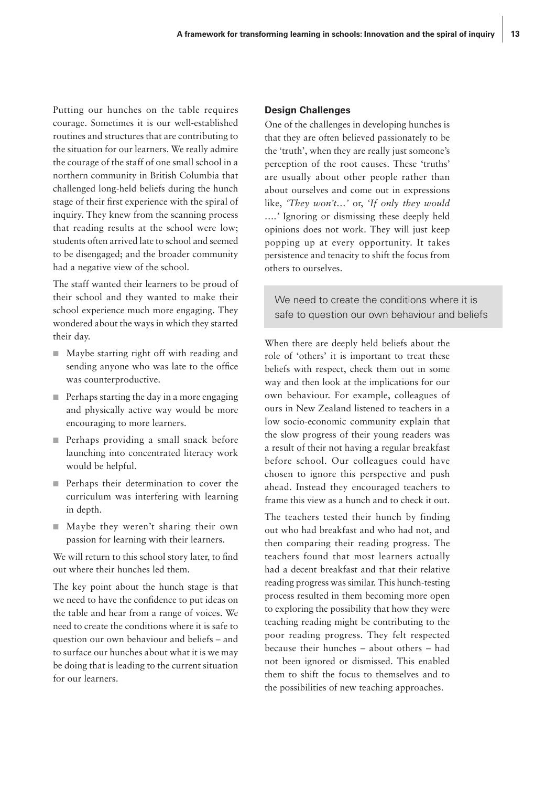Putting our hunches on the table requires courage. Sometimes it is our well-established routines and structures that are contributing to the situation for our learners. We really admire the courage of the staff of one small school in a northern community in British Columbia that challenged long-held beliefs during the hunch stage of their first experience with the spiral of inquiry. They knew from the scanning process that reading results at the school were low; students often arrived late to school and seemed to be disengaged; and the broader community had a negative view of the school.

The staff wanted their learners to be proud of their school and they wanted to make their school experience much more engaging. They wondered about the ways in which they started their day.

- Maybe starting right off with reading and sending anyone who was late to the office was counterproductive.
- Perhaps starting the day in a more engaging and physically active way would be more encouraging to more learners.
- Perhaps providing a small snack before launching into concentrated literacy work would be helpful.
- Perhaps their determination to cover the curriculum was interfering with learning in depth.
- Maybe they weren't sharing their own passion for learning with their learners.

We will return to this school story later, to find out where their hunches led them.

The key point about the hunch stage is that we need to have the confidence to put ideas on the table and hear from a range of voices. We need to create the conditions where it is safe to question our own behaviour and beliefs – and to surface our hunches about what it is we may be doing that is leading to the current situation for our learners.

#### **Design Challenges**

One of the challenges in developing hunches is that they are often believed passionately to be the 'truth', when they are really just someone's perception of the root causes. These 'truths' are usually about other people rather than about ourselves and come out in expressions like, *'They won't…'* or, *'If only they would ….'* Ignoring or dismissing these deeply held opinions does not work. They will just keep popping up at every opportunity. It takes persistence and tenacity to shift the focus from others to ourselves.

We need to create the conditions where it is safe to question our own behaviour and beliefs

When there are deeply held beliefs about the role of 'others' it is important to treat these beliefs with respect, check them out in some way and then look at the implications for our own behaviour. For example, colleagues of ours in New Zealand listened to teachers in a low socio-economic community explain that the slow progress of their young readers was a result of their not having a regular breakfast before school. Our colleagues could have chosen to ignore this perspective and push ahead. Instead they encouraged teachers to frame this view as a hunch and to check it out.

The teachers tested their hunch by finding out who had breakfast and who had not, and then comparing their reading progress. The teachers found that most learners actually had a decent breakfast and that their relative reading progress was similar. This hunch-testing process resulted in them becoming more open to exploring the possibility that how they were teaching reading might be contributing to the poor reading progress. They felt respected because their hunches – about others – had not been ignored or dismissed. This enabled them to shift the focus to themselves and to the possibilities of new teaching approaches.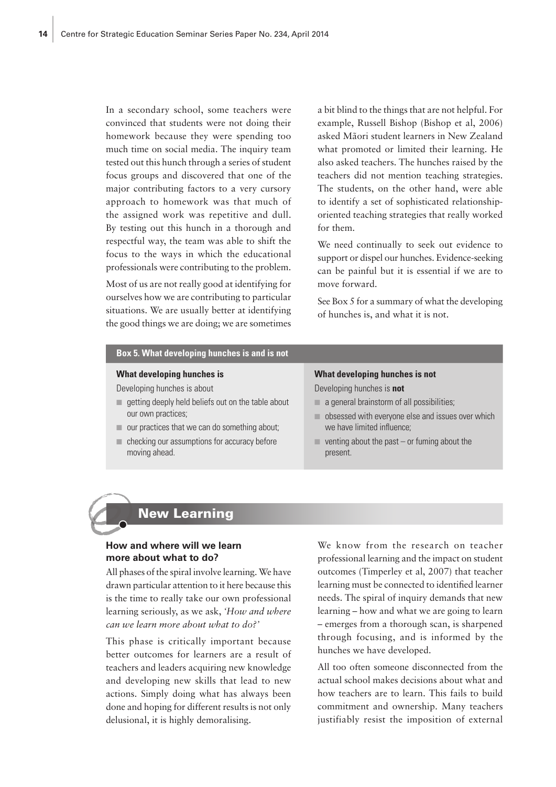In a secondary school, some teachers were convinced that students were not doing their homework because they were spending too much time on social media. The inquiry team tested out this hunch through a series of student focus groups and discovered that one of the major contributing factors to a very cursory approach to homework was that much of the assigned work was repetitive and dull. By testing out this hunch in a thorough and respectful way, the team was able to shift the focus to the ways in which the educational professionals were contributing to the problem.

Most of us are not really good at identifying for ourselves how we are contributing to particular situations. We are usually better at identifying the good things we are doing; we are sometimes a bit blind to the things that are not helpful. For example, Russell Bishop (Bishop et al, 2006) asked Mãori student learners in New Zealand what promoted or limited their learning. He also asked teachers. The hunches raised by the teachers did not mention teaching strategies. The students, on the other hand, were able to identify a set of sophisticated relationshiporiented teaching strategies that really worked for them.

We need continually to seek out evidence to support or dispel our hunches. Evidence-seeking can be painful but it is essential if we are to move forward.

See Box 5 for a summary of what the developing of hunches is, and what it is not.

| Box 5. What developing hunches is and is not       |                                                   |
|----------------------------------------------------|---------------------------------------------------|
| What developing hunches is                         | What developing hunches is not                    |
| Developing hunches is about                        | Developing hunches is not                         |
| getting deeply held beliefs out on the table about | $\Box$ a general brainstorm of all possibilities; |
| our own practices;                                 | obsessed with everyone else and issues over which |
| our practices that we can do something about;      | we have limited influence;                        |
| checking our assumptions for accuracy before       | venting about the past $-$ or fuming about the    |
| moving ahead.                                      | present.                                          |

### New Learning

#### **How and where will we learn more about what to do?**

All phases of the spiral involve learning. We have drawn particular attention to it here because this is the time to really take our own professional learning seriously, as we ask, *'How and where can we learn more about what to do?'*

This phase is critically important because better outcomes for learners are a result of teachers and leaders acquiring new knowledge and developing new skills that lead to new actions. Simply doing what has always been done and hoping for different results is not only delusional, it is highly demoralising.

We know from the research on teacher professional learning and the impact on student outcomes (Timperley et al, 2007) that teacher learning must be connected to identified learner needs. The spiral of inquiry demands that new learning – how and what we are going to learn – emerges from a thorough scan, is sharpened through focusing, and is informed by the hunches we have developed.

All too often someone disconnected from the actual school makes decisions about what and how teachers are to learn. This fails to build commitment and ownership. Many teachers justifiably resist the imposition of external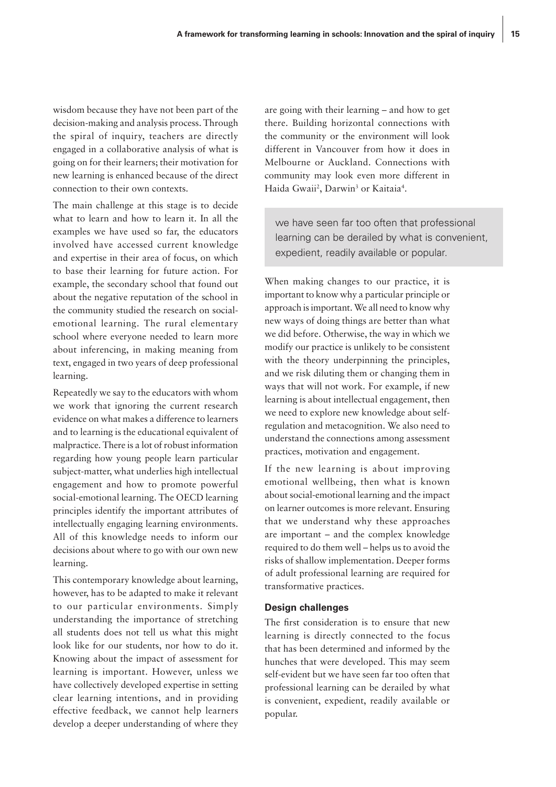wisdom because they have not been part of the decision-making and analysis process. Through the spiral of inquiry, teachers are directly engaged in a collaborative analysis of what is going on for their learners; their motivation for new learning is enhanced because of the direct connection to their own contexts.

The main challenge at this stage is to decide what to learn and how to learn it. In all the examples we have used so far, the educators involved have accessed current knowledge and expertise in their area of focus, on which to base their learning for future action. For example, the secondary school that found out about the negative reputation of the school in the community studied the research on socialemotional learning. The rural elementary school where everyone needed to learn more about inferencing, in making meaning from text, engaged in two years of deep professional learning.

Repeatedly we say to the educators with whom we work that ignoring the current research evidence on what makes a difference to learners and to learning is the educational equivalent of malpractice. There is a lot of robust information regarding how young people learn particular subject-matter, what underlies high intellectual engagement and how to promote powerful social-emotional learning. The OECD learning principles identify the important attributes of intellectually engaging learning environments. All of this knowledge needs to inform our decisions about where to go with our own new learning.

This contemporary knowledge about learning, however, has to be adapted to make it relevant to our particular environments. Simply understanding the importance of stretching all students does not tell us what this might look like for our students, nor how to do it. Knowing about the impact of assessment for learning is important. However, unless we have collectively developed expertise in setting clear learning intentions, and in providing effective feedback, we cannot help learners develop a deeper understanding of where they are going with their learning – and how to get there. Building horizontal connections with the community or the environment will look different in Vancouver from how it does in Melbourne or Auckland. Connections with community may look even more different in Haida Gwaii<sup>2</sup>, Darwin<sup>3</sup> or Kaitaia<sup>4</sup>.

we have seen far too often that professional learning can be derailed by what is convenient, expedient, readily available or popular.

When making changes to our practice, it is important to know why a particular principle or approach is important. We all need to know why new ways of doing things are better than what we did before. Otherwise, the way in which we modify our practice is unlikely to be consistent with the theory underpinning the principles, and we risk diluting them or changing them in ways that will not work. For example, if new learning is about intellectual engagement, then we need to explore new knowledge about selfregulation and metacognition. We also need to understand the connections among assessment practices, motivation and engagement.

If the new learning is about improving emotional wellbeing, then what is known about social-emotional learning and the impact on learner outcomes is more relevant. Ensuring that we understand why these approaches are important – and the complex knowledge required to do them well – helps us to avoid the risks of shallow implementation. Deeper forms of adult professional learning are required for transformative practices.

#### **Design challenges**

The first consideration is to ensure that new learning is directly connected to the focus that has been determined and informed by the hunches that were developed. This may seem self-evident but we have seen far too often that professional learning can be derailed by what is convenient, expedient, readily available or popular.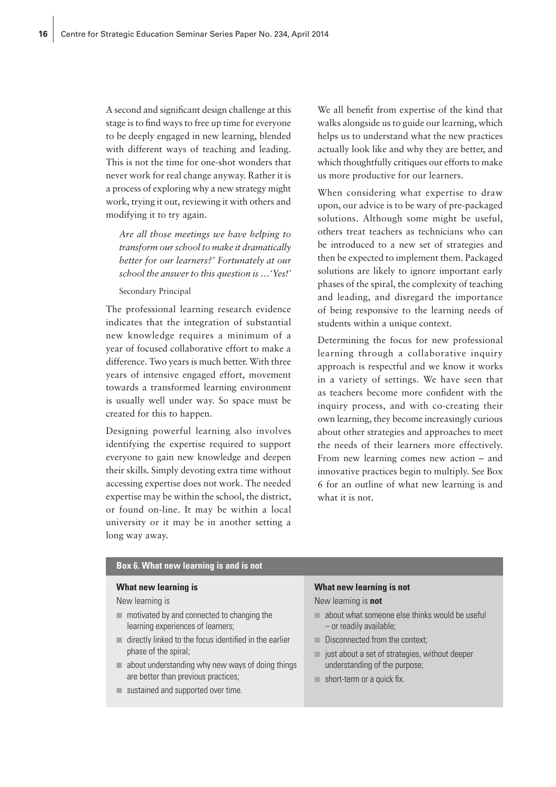A second and significant design challenge at this stage is to find ways to free up time for everyone to be deeply engaged in new learning, blended with different ways of teaching and leading. This is not the time for one-shot wonders that never work for real change anyway. Rather it is a process of exploring why a new strategy might work, trying it out, reviewing it with others and modifying it to try again.

*Are all those meetings we have helping to transform our school to make it dramatically better for our learners?' Fortunately at our school the answer to this question is …'Yes!'*

Secondary Principal

The professional learning research evidence indicates that the integration of substantial new knowledge requires a minimum of a year of focused collaborative effort to make a difference. Two years is much better. With three years of intensive engaged effort, movement towards a transformed learning environment is usually well under way. So space must be created for this to happen.

Designing powerful learning also involves identifying the expertise required to support everyone to gain new knowledge and deepen their skills. Simply devoting extra time without accessing expertise does not work. The needed expertise may be within the school, the district, or found on-line. It may be within a local university or it may be in another setting a long way away.

We all benefit from expertise of the kind that walks alongside us to guide our learning, which helps us to understand what the new practices actually look like and why they are better, and which thoughtfully critiques our efforts to make us more productive for our learners.

When considering what expertise to draw upon, our advice is to be wary of pre-packaged solutions. Although some might be useful, others treat teachers as technicians who can be introduced to a new set of strategies and then be expected to implement them. Packaged solutions are likely to ignore important early phases of the spiral, the complexity of teaching and leading, and disregard the importance of being responsive to the learning needs of students within a unique context.

Determining the focus for new professional learning through a collaborative inquiry approach is respectful and we know it works in a variety of settings. We have seen that as teachers become more confident with the inquiry process, and with co-creating their own learning, they become increasingly curious about other strategies and approaches to meet the needs of their learners more effectively. From new learning comes new action – and innovative practices begin to multiply. See Box 6 for an outline of what new learning is and what it is not.

#### **Box 6. What new learning is and is not**

#### **What new learning is**

New learning is

- motivated by and connected to changing the learning experiences of learners;
- directly linked to the focus identified in the earlier phase of the spiral;
- about understanding why new ways of doing things are better than previous practices;
- sustained and supported over time.

#### **What new learning is not**

New learning is **not**

- about what someone else thinks would be useful – or readily available;
- Disconnected from the context:
- just about a set of strategies, without deeper understanding of the purpose;
- short-term or a quick fix.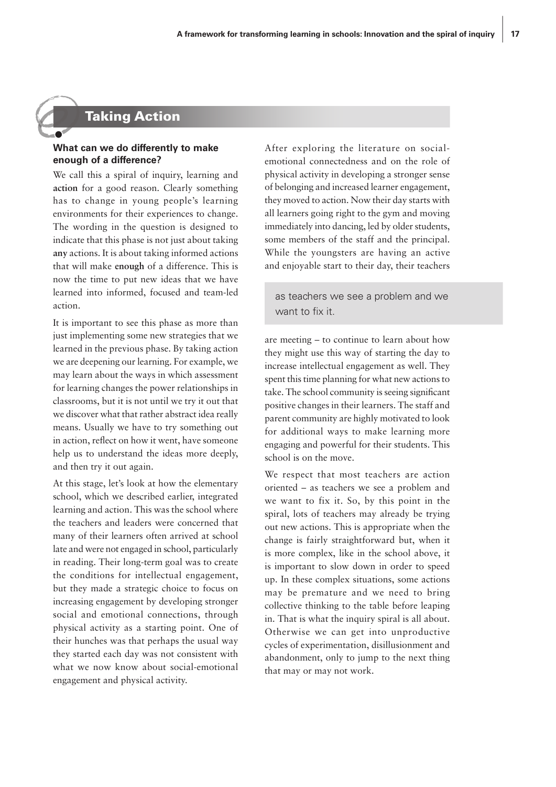# Taking Action

#### **What can we do differently to make enough of a difference?**

We call this a spiral of inquiry, learning and **action** for a good reason. Clearly something has to change in young people's learning environments for their experiences to change. The wording in the question is designed to indicate that this phase is not just about taking **any** actions. It is about taking informed actions that will make **enough** of a difference. This is now the time to put new ideas that we have learned into informed, focused and team-led action.

It is important to see this phase as more than just implementing some new strategies that we learned in the previous phase. By taking action we are deepening our learning. For example, we may learn about the ways in which assessment for learning changes the power relationships in classrooms, but it is not until we try it out that we discover what that rather abstract idea really means. Usually we have to try something out in action, reflect on how it went, have someone help us to understand the ideas more deeply, and then try it out again.

At this stage, let's look at how the elementary school, which we described earlier, integrated learning and action. This was the school where the teachers and leaders were concerned that many of their learners often arrived at school late and were not engaged in school, particularly in reading. Their long-term goal was to create the conditions for intellectual engagement, but they made a strategic choice to focus on increasing engagement by developing stronger social and emotional connections, through physical activity as a starting point. One of their hunches was that perhaps the usual way they started each day was not consistent with what we now know about social-emotional engagement and physical activity.

After exploring the literature on socialemotional connectedness and on the role of physical activity in developing a stronger sense of belonging and increased learner engagement, they moved to action. Now their day starts with all learners going right to the gym and moving immediately into dancing, led by older students, some members of the staff and the principal. While the youngsters are having an active and enjoyable start to their day, their teachers

as teachers we see a problem and we want to fix it.

are meeting – to continue to learn about how they might use this way of starting the day to increase intellectual engagement as well. They spent this time planning for what new actions to take. The school community is seeing significant positive changes in their learners. The staff and parent community are highly motivated to look for additional ways to make learning more engaging and powerful for their students. This school is on the move.

We respect that most teachers are action oriented – as teachers we see a problem and we want to fix it. So, by this point in the spiral, lots of teachers may already be trying out new actions. This is appropriate when the change is fairly straightforward but, when it is more complex, like in the school above, it is important to slow down in order to speed up. In these complex situations, some actions may be premature and we need to bring collective thinking to the table before leaping in. That is what the inquiry spiral is all about. Otherwise we can get into unproductive cycles of experimentation, disillusionment and abandonment, only to jump to the next thing that may or may not work.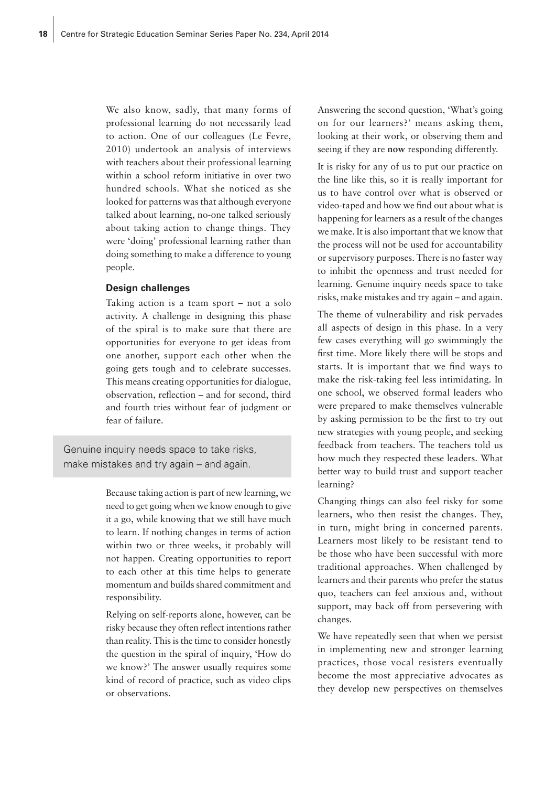We also know, sadly, that many forms of professional learning do not necessarily lead to action. One of our colleagues (Le Fevre, 2010) undertook an analysis of interviews with teachers about their professional learning within a school reform initiative in over two hundred schools. What she noticed as she looked for patterns was that although everyone talked about learning, no-one talked seriously about taking action to change things. They were 'doing' professional learning rather than doing something to make a difference to young people.

#### **Design challenges**

Taking action is a team sport – not a solo activity. A challenge in designing this phase of the spiral is to make sure that there are opportunities for everyone to get ideas from one another, support each other when the going gets tough and to celebrate successes. This means creating opportunities for dialogue, observation, reflection – and for second, third and fourth tries without fear of judgment or fear of failure.

Genuine inquiry needs space to take risks, make mistakes and try again – and again.

> Because taking action is part of new learning, we need to get going when we know enough to give it a go, while knowing that we still have much to learn. If nothing changes in terms of action within two or three weeks, it probably will not happen. Creating opportunities to report to each other at this time helps to generate momentum and builds shared commitment and responsibility.

> Relying on self-reports alone, however, can be risky because they often reflect intentions rather than reality. This is the time to consider honestly the question in the spiral of inquiry, 'How do we know?' The answer usually requires some kind of record of practice, such as video clips or observations.

Answering the second question, 'What's going on for our learners?' means asking them, looking at their work, or observing them and seeing if they are **now** responding differently.

It is risky for any of us to put our practice on the line like this, so it is really important for us to have control over what is observed or video-taped and how we find out about what is happening for learners as a result of the changes we make. It is also important that we know that the process will not be used for accountability or supervisory purposes. There is no faster way to inhibit the openness and trust needed for learning. Genuine inquiry needs space to take risks, make mistakes and try again – and again.

The theme of vulnerability and risk pervades all aspects of design in this phase. In a very few cases everything will go swimmingly the first time. More likely there will be stops and starts. It is important that we find ways to make the risk-taking feel less intimidating. In one school, we observed formal leaders who were prepared to make themselves vulnerable by asking permission to be the first to try out new strategies with young people, and seeking feedback from teachers. The teachers told us how much they respected these leaders. What better way to build trust and support teacher learning?

Changing things can also feel risky for some learners, who then resist the changes. They, in turn, might bring in concerned parents. Learners most likely to be resistant tend to be those who have been successful with more traditional approaches. When challenged by learners and their parents who prefer the status quo, teachers can feel anxious and, without support, may back off from persevering with changes.

We have repeatedly seen that when we persist in implementing new and stronger learning practices, those vocal resisters eventually become the most appreciative advocates as they develop new perspectives on themselves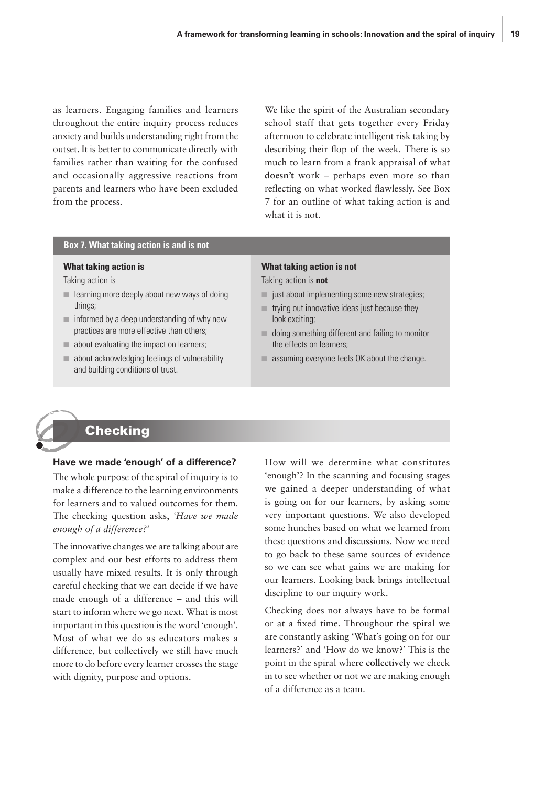as learners. Engaging families and learners throughout the entire inquiry process reduces anxiety and builds understanding right from the outset. It is better to communicate directly with families rather than waiting for the confused and occasionally aggressive reactions from parents and learners who have been excluded from the process.

We like the spirit of the Australian secondary school staff that gets together every Friday afternoon to celebrate intelligent risk taking by describing their flop of the week. There is so much to learn from a frank appraisal of what **doesn't** work – perhaps even more so than reflecting on what worked flawlessly. See Box 7 for an outline of what taking action is and what it is not.

#### **Box 7. What taking action is and is not**

#### **What taking action is**

Taking action is

- learning more deeply about new ways of doing things;
- $\blacksquare$  informed by a deep understanding of why new practices are more effective than others;
- about evaluating the impact on learners;
- $\blacksquare$  about acknowledging feelings of vulnerability and building conditions of trust.

# **What taking action is not**

Taking action is **not**

- just about implementing some new strategies;
- $\blacksquare$  trying out innovative ideas just because they look exciting;
- doing something different and failing to monitor the effects on learners;
- $\Box$  assuming everyone feels OK about the change.



# **Checking**

#### **Have we made 'enough' of a difference?**

The whole purpose of the spiral of inquiry is to make a difference to the learning environments for learners and to valued outcomes for them. The checking question asks, *'Have we made enough of a difference?'*

The innovative changes we are talking about are complex and our best efforts to address them usually have mixed results. It is only through careful checking that we can decide if we have made enough of a difference – and this will start to inform where we go next. What is most important in this question is the word 'enough'. Most of what we do as educators makes a difference, but collectively we still have much more to do before every learner crosses the stage with dignity, purpose and options.

How will we determine what constitutes 'enough'? In the scanning and focusing stages we gained a deeper understanding of what is going on for our learners, by asking some very important questions. We also developed some hunches based on what we learned from these questions and discussions. Now we need to go back to these same sources of evidence so we can see what gains we are making for our learners. Looking back brings intellectual discipline to our inquiry work.

Checking does not always have to be formal or at a fixed time. Throughout the spiral we are constantly asking 'What's going on for our learners?' and 'How do we know?' This is the point in the spiral where **collectively** we check in to see whether or not we are making enough of a difference as a team.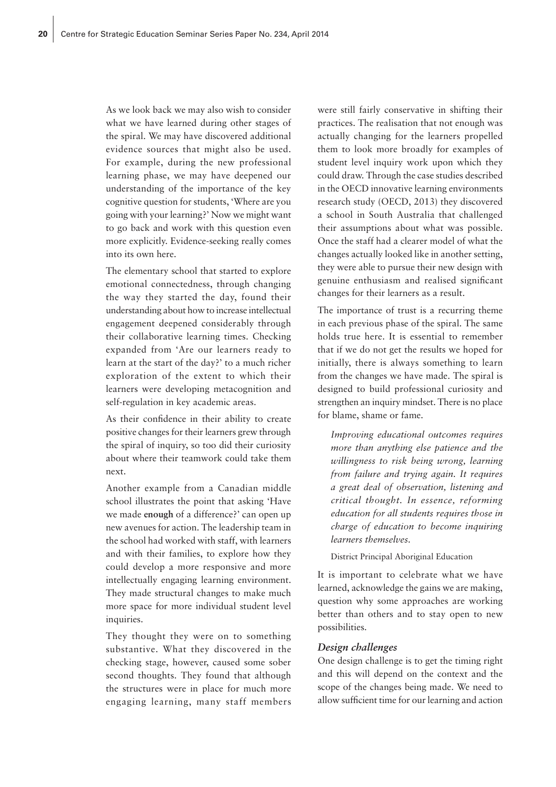As we look back we may also wish to consider what we have learned during other stages of the spiral. We may have discovered additional evidence sources that might also be used. For example, during the new professional learning phase, we may have deepened our understanding of the importance of the key cognitive question for students, 'Where are you going with your learning?' Now we might want to go back and work with this question even more explicitly. Evidence-seeking really comes into its own here.

The elementary school that started to explore emotional connectedness, through changing the way they started the day, found their understanding about how to increase intellectual engagement deepened considerably through their collaborative learning times. Checking expanded from 'Are our learners ready to learn at the start of the day?' to a much richer exploration of the extent to which their learners were developing metacognition and self-regulation in key academic areas.

As their confidence in their ability to create positive changes for their learners grew through the spiral of inquiry, so too did their curiosity about where their teamwork could take them next.

Another example from a Canadian middle school illustrates the point that asking 'Have we made **enough** of a difference?' can open up new avenues for action. The leadership team in the school had worked with staff, with learners and with their families, to explore how they could develop a more responsive and more intellectually engaging learning environment. They made structural changes to make much more space for more individual student level inquiries.

They thought they were on to something substantive. What they discovered in the checking stage, however, caused some sober second thoughts. They found that although the structures were in place for much more engaging learning, many staff members

were still fairly conservative in shifting their practices. The realisation that not enough was actually changing for the learners propelled them to look more broadly for examples of student level inquiry work upon which they could draw. Through the case studies described in the OECD innovative learning environments research study (OECD, 2013) they discovered a school in South Australia that challenged their assumptions about what was possible. Once the staff had a clearer model of what the changes actually looked like in another setting, they were able to pursue their new design with genuine enthusiasm and realised significant changes for their learners as a result.

The importance of trust is a recurring theme in each previous phase of the spiral. The same holds true here. It is essential to remember that if we do not get the results we hoped for initially, there is always something to learn from the changes we have made. The spiral is designed to build professional curiosity and strengthen an inquiry mindset. There is no place for blame, shame or fame.

*Improving educational outcomes requires more than anything else patience and the willingness to risk being wrong, learning from failure and trying again. It requires a great deal of observation, listening and critical thought. In essence, reforming education for all students requires those in charge of education to become inquiring learners themselves.*

District Principal Aboriginal Education

It is important to celebrate what we have learned, acknowledge the gains we are making, question why some approaches are working better than others and to stay open to new possibilities.

#### *Design challenges*

One design challenge is to get the timing right and this will depend on the context and the scope of the changes being made. We need to allow sufficient time for our learning and action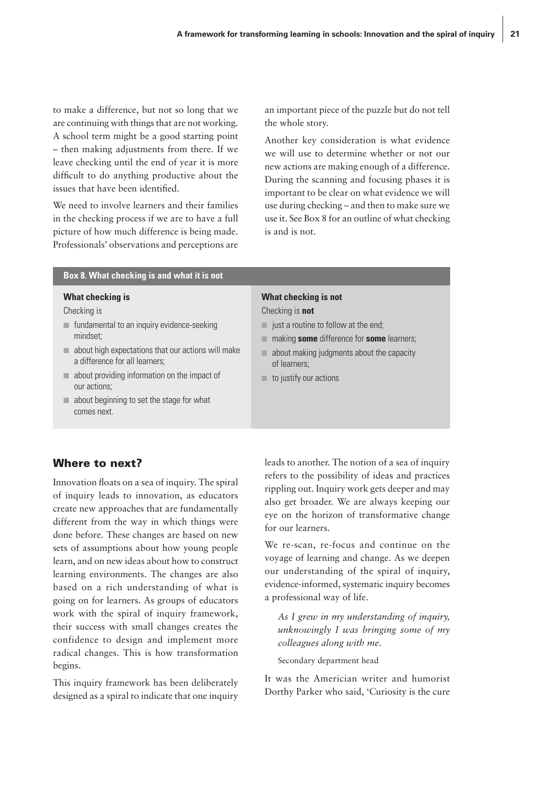to make a difference, but not so long that we are continuing with things that are not working. A school term might be a good starting point – then making adjustments from there. If we leave checking until the end of year it is more difficult to do anything productive about the issues that have been identified.

We need to involve learners and their families in the checking process if we are to have a full picture of how much difference is being made. Professionals' observations and perceptions are an important piece of the puzzle but do not tell the whole story.

Another key consideration is what evidence we will use to determine whether or not our new actions are making enough of a difference. During the scanning and focusing phases it is important to be clear on what evidence we will use during checking – and then to make sure we use it. See Box 8 for an outline of what checking is and is not.

#### **Box 8. What checking is and what it is not**

#### **What checking is**

Checking is

- fundamental to an inquiry evidence-seeking mindset;
- about high expectations that our actions will make a difference for all learners;
- about providing information on the impact of our actions;
- about beginning to set the stage for what comes next.

#### **What checking is not**

Checking is **not**

- $\blacksquare$  just a routine to follow at the end;
- making **some** difference for **some** learners;
- about making judgments about the capacity of learners;
- to justify our actions

## Where to next?

Innovation floats on a sea of inquiry. The spiral of inquiry leads to innovation, as educators create new approaches that are fundamentally different from the way in which things were done before. These changes are based on new sets of assumptions about how young people learn, and on new ideas about how to construct learning environments. The changes are also based on a rich understanding of what is going on for learners. As groups of educators work with the spiral of inquiry framework, their success with small changes creates the confidence to design and implement more radical changes. This is how transformation begins.

This inquiry framework has been deliberately designed as a spiral to indicate that one inquiry leads to another. The notion of a sea of inquiry refers to the possibility of ideas and practices rippling out. Inquiry work gets deeper and may also get broader. We are always keeping our eye on the horizon of transformative change for our learners.

We re-scan, re-focus and continue on the voyage of learning and change. As we deepen our understanding of the spiral of inquiry, evidence-informed, systematic inquiry becomes a professional way of life.

*As I grew in my understanding of inquiry, unknowingly I was bringing some of my colleagues along with me.*

Secondary department head

It was the Americian writer and humorist Dorthy Parker who said, 'Curiosity is the cure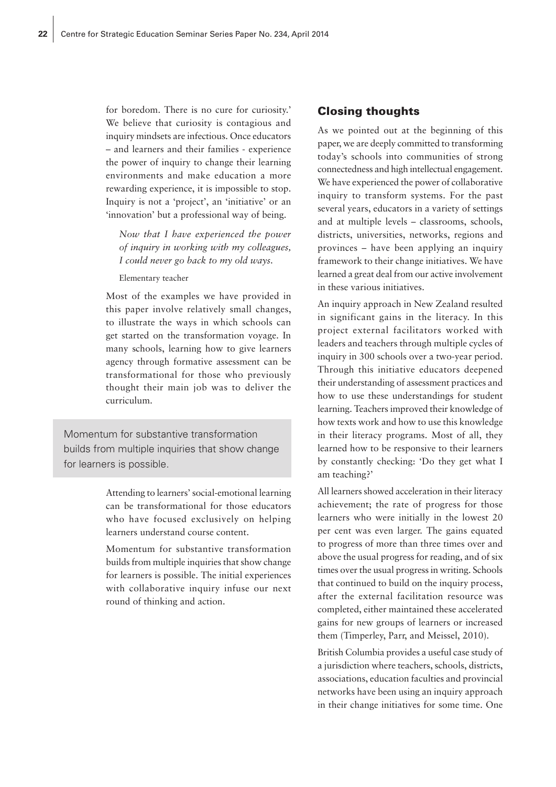for boredom. There is no cure for curiosity.' We believe that curiosity is contagious and inquiry mindsets are infectious. Once educators – and learners and their families - experience the power of inquiry to change their learning environments and make education a more rewarding experience, it is impossible to stop. Inquiry is not a 'project', an 'initiative' or an 'innovation' but a professional way of being.

*Now that I have experienced the power of inquiry in working with my colleagues, I could never go back to my old ways.* 

Elementary teacher

Most of the examples we have provided in this paper involve relatively small changes, to illustrate the ways in which schools can get started on the transformation voyage. In many schools, learning how to give learners agency through formative assessment can be transformational for those who previously thought their main job was to deliver the curriculum.

Momentum for substantive transformation builds from multiple inquiries that show change for learners is possible.

> Attending to learners' social-emotional learning can be transformational for those educators who have focused exclusively on helping learners understand course content.

> Momentum for substantive transformation builds from multiple inquiries that show change for learners is possible. The initial experiences with collaborative inquiry infuse our next round of thinking and action.

#### Closing thoughts

As we pointed out at the beginning of this paper, we are deeply committed to transforming today's schools into communities of strong connectedness and high intellectual engagement. We have experienced the power of collaborative inquiry to transform systems. For the past several years, educators in a variety of settings and at multiple levels – classrooms, schools, districts, universities, networks, regions and provinces – have been applying an inquiry framework to their change initiatives. We have learned a great deal from our active involvement in these various initiatives.

An inquiry approach in New Zealand resulted in significant gains in the literacy. In this project external facilitators worked with leaders and teachers through multiple cycles of inquiry in 300 schools over a two-year period. Through this initiative educators deepened their understanding of assessment practices and how to use these understandings for student learning. Teachers improved their knowledge of how texts work and how to use this knowledge in their literacy programs. Most of all, they learned how to be responsive to their learners by constantly checking: 'Do they get what I am teaching?'

All learners showed acceleration in their literacy achievement; the rate of progress for those learners who were initially in the lowest 20 per cent was even larger. The gains equated to progress of more than three times over and above the usual progress for reading, and of six times over the usual progress in writing. Schools that continued to build on the inquiry process, after the external facilitation resource was completed, either maintained these accelerated gains for new groups of learners or increased them (Timperley, Parr, and Meissel, 2010).

British Columbia provides a useful case study of a jurisdiction where teachers, schools, districts, associations, education faculties and provincial networks have been using an inquiry approach in their change initiatives for some time. One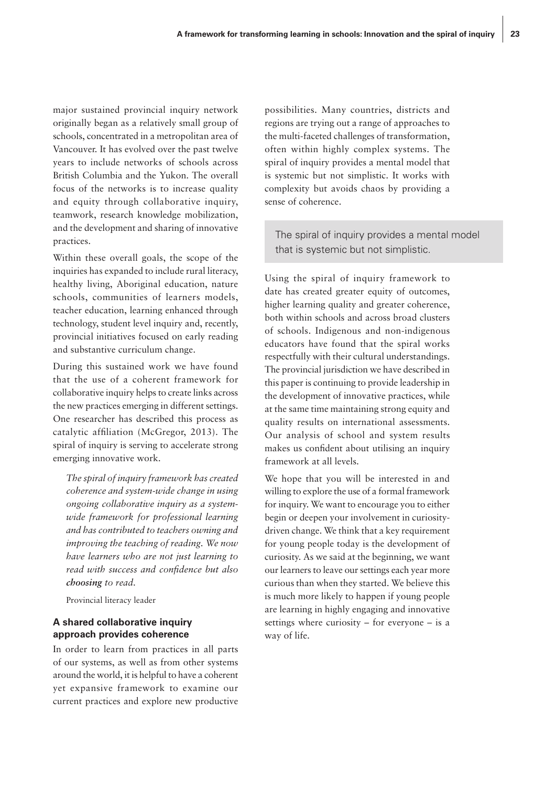major sustained provincial inquiry network originally began as a relatively small group of schools, concentrated in a metropolitan area of Vancouver. It has evolved over the past twelve years to include networks of schools across British Columbia and the Yukon. The overall focus of the networks is to increase quality and equity through collaborative inquiry, teamwork, research knowledge mobilization, and the development and sharing of innovative practices.

Within these overall goals, the scope of the inquiries has expanded to include rural literacy, healthy living, Aboriginal education, nature schools, communities of learners models, teacher education, learning enhanced through technology, student level inquiry and, recently, provincial initiatives focused on early reading and substantive curriculum change.

During this sustained work we have found that the use of a coherent framework for collaborative inquiry helps to create links across the new practices emerging in different settings. One researcher has described this process as catalytic affiliation (McGregor, 2013). The spiral of inquiry is serving to accelerate strong emerging innovative work.

*The spiral of inquiry framework has created coherence and system-wide change in using ongoing collaborative inquiry as a systemwide framework for professional learning and has contributed to teachers owning and improving the teaching of reading. We now have learners who are not just learning to read with success and confidence but also choosing to read.*

Provincial literacy leader

#### **A shared collaborative inquiry approach provides coherence**

In order to learn from practices in all parts of our systems, as well as from other systems around the world, it is helpful to have a coherent yet expansive framework to examine our current practices and explore new productive possibilities. Many countries, districts and regions are trying out a range of approaches to the multi-faceted challenges of transformation, often within highly complex systems. The spiral of inquiry provides a mental model that is systemic but not simplistic. It works with complexity but avoids chaos by providing a sense of coherence.

The spiral of inquiry provides a mental model that is systemic but not simplistic.

Using the spiral of inquiry framework to date has created greater equity of outcomes, higher learning quality and greater coherence, both within schools and across broad clusters of schools. Indigenous and non-indigenous educators have found that the spiral works respectfully with their cultural understandings. The provincial jurisdiction we have described in this paper is continuing to provide leadership in the development of innovative practices, while at the same time maintaining strong equity and quality results on international assessments. Our analysis of school and system results makes us confident about utilising an inquiry framework at all levels.

We hope that you will be interested in and willing to explore the use of a formal framework for inquiry. We want to encourage you to either begin or deepen your involvement in curiositydriven change. We think that a key requirement for young people today is the development of curiosity. As we said at the beginning, we want our learners to leave our settings each year more curious than when they started. We believe this is much more likely to happen if young people are learning in highly engaging and innovative settings where curiosity – for everyone – is a way of life.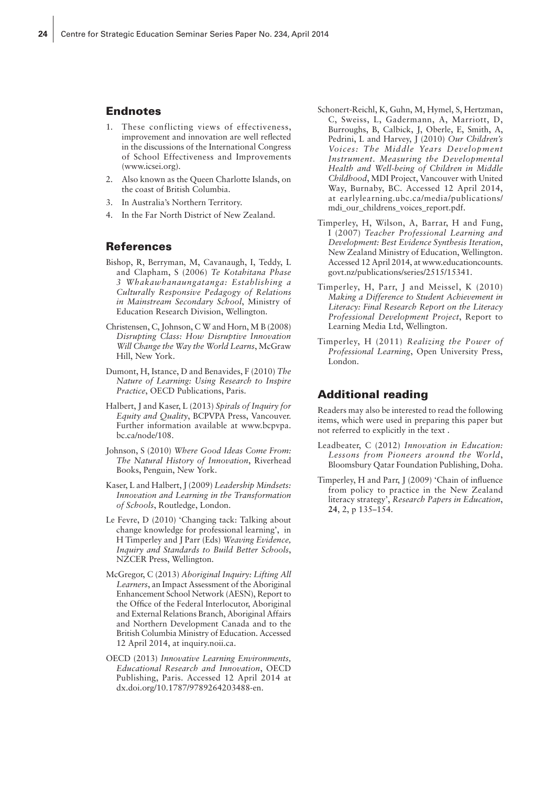#### Endnotes

- 1. These conflicting views of effectiveness, improvement and innovation are well reflected in the discussions of the International Congress of School Effectiveness and Improvements (www.icsei.org).
- 2. Also known as the Queen Charlotte Islands, on the coast of British Columbia.
- 3. In Australia's Northern Territory.
- 4. In the Far North District of New Zealand.

#### References

- Bishop, R, Berryman, M, Cavanaugh, I, Teddy, L and Clapham, S (2006) *Te Kotahitana Phase 3 Whakawhanaungatanga: Establishing a Culturally Responsive Pedagogy of Relations in Mainstream Secondary School*, Ministry of Education Research Division, Wellington.
- Christensen, C, Johnson, C W and Horn, M B (2008) *Disrupting Class: How Disruptive Innovation Will Change the Way the World Learns*, McGraw Hill, New York.
- Dumont, H, Istance, D and Benavides, F (2010) *The Nature of Learning: Using Research to Inspire Practice*, OECD Publications, Paris.
- Halbert, J and Kaser, L (2013) *Spirals of Inquiry for Equity and Quality*, BCPVPA Press, Vancouver. Further information available at www.bcpvpa. bc.ca/node/108.
- Johnson, S (2010) *Where Good Ideas Come From: The Natural History of Innovation*, Riverhead Books, Penguin, New York.
- Kaser, L and Halbert, J (2009) *Leadership Mindsets: Innovation and Learning in the Transformation of Schools*, Routledge, London.
- Le Fevre, D (2010) 'Changing tack: Talking about change knowledge for professional learning', in H Timperley and J Parr (Eds) *Weaving Evidence, Inquiry and Standards to Build Better Schools*, NZCER Press, Wellington.
- McGregor, C (2013) *Aboriginal Inquiry: Lifting All Learners*, an Impact Assessment of the Aboriginal Enhancement School Network (AESN), Report to the Office of the Federal Interlocutor, Aboriginal and External Relations Branch, Aboriginal Affairs and Northern Development Canada and to the British Columbia Ministry of Education. Accessed 12 April 2014, at inquiry.noii.ca.
- OECD (2013) *Innovative Learning Environments, Educational Research and Innovation*, OECD Publishing, Paris. Accessed 12 April 2014 at dx.doi.org/10.1787/9789264203488-en.
- Schonert-Reichl, K, Guhn, M, Hymel, S, Hertzman, C, Sweiss, L, Gadermann, A, Marriott, D, Burroughs, B, Calbick, J, Oberle, E, Smith, A, Pedrini, L and Harvey, J (2010) *Our Children's Voices: The Middle Years Development Instrument. Measuring the Developmental Health and Well-being of Children in Middle Childhood*, MDI Project, Vancouver with United Way, Burnaby, BC. Accessed 12 April 2014, at earlylearning.ubc.ca/media/publications/ mdi\_our\_childrens\_voices\_report.pdf.
- Timperley, H, Wilson, A, Barrar, H and Fung, I (2007) *Teacher Professional Learning and Development: Best Evidence Synthesis Iteration*, New Zealand Ministry of Education, Wellington. Accessed 12 April 2014, at www.educationcounts. govt.nz/publications/series/2515/15341.
- Timperley, H, Parr, J and Meissel, K (2010) *Making a Difference to Student Achievement in Literacy: Final Research Report on the Literacy Professional Development Project*, Report to Learning Media Ltd, Wellington.
- Timperley, H (2011) *Realizing the Power of Professional Learning*, Open University Press, London.

#### Additional reading

Readers may also be interested to read the following items, which were used in preparing this paper but not referred to explicitly in the text .

- Leadbeater, C (2012) *Innovation in Education: Lessons from Pioneers around the World*, Bloomsbury Qatar Foundation Publishing, Doha.
- Timperley, H and Parr, J (2009) 'Chain of influence from policy to practice in the New Zealand literacy strategy', *Research Papers in Education*, **24**, 2, p 135–154.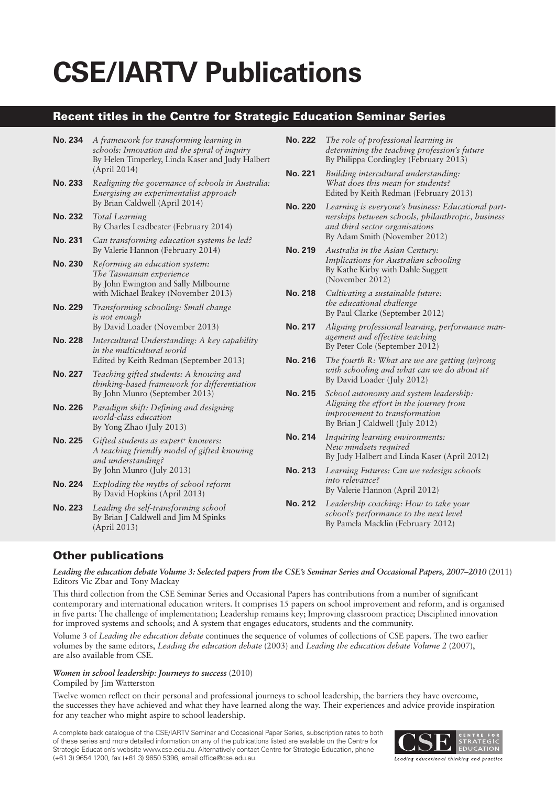# **CSE/IARTV Publications**

## Recent titles in the Centre for Strategic Education Seminar Series

| No. 234        | A framework for transforming learning in<br>schools: Innovation and the spiral of inquiry<br>By Helen Timperley, Linda Kaser and Judy Halbert<br>(April 2014) |
|----------------|---------------------------------------------------------------------------------------------------------------------------------------------------------------|
| <b>No. 233</b> | Realigning the governance of schools in Australia:<br>Energising an experimentalist approach<br>By Brian Caldwell (April 2014)                                |
| No. 232        | <b>Total Learning</b><br>By Charles Leadbeater (February 2014)                                                                                                |
| <b>No. 231</b> | Can transforming education systems be led?<br>By Valerie Hannon (February 2014)                                                                               |
| No. 230        | Reforming an education system:<br>The Tasmanian experience<br>By John Ewington and Sally Milbourne<br>with Michael Brakey (November 2013)                     |
| <b>No. 229</b> | Transforming schooling: Small change<br><i>is not enough</i><br>By David Loader (November 2013)                                                               |
| <b>No. 228</b> | Intercultural Understanding: A key capability<br>in the multicultural world<br>Edited by Keith Redman (September 2013)                                        |
| No. 227        | Teaching gifted students: A knowing and<br>thinking-based framework for differentiation<br>By John Munro (September 2013)                                     |
| <b>No. 226</b> | Paradigm shift: Defining and designing<br>world-class education<br>By Yong Zhao (July 2013)                                                                   |
| <b>No. 225</b> | Gifted students as expert <sup>+</sup> knowers:<br>A teaching friendly model of gifted knowing<br>and understanding?<br>By John Munro (July 2013)             |
| <b>No. 224</b> | Exploding the myths of school reform<br>By David Hopkins (April 2013)                                                                                         |
| <b>No. 223</b> | Leading the self-transforming school<br>By Brian J Caldwell and Jim M Spinks<br>(April 2013)                                                                  |

- **No. 222** *The role of professional learning in determining the teaching profession's future*  By Philippa Cordingley (February 2013)
- **No. 221** *Building intercultural understanding: What does this mean for students?*  Edited by Keith Redman (February 2013)
- **No. 220** *Learning is everyone's business: Educational partnerships between schools, philanthropic, business and third sector organisations*  By Adam Smith (November 2012)
- **No. 219** *Australia in the Asian Century: Implications for Australian schooling*  By Kathe Kirby with Dahle Suggett (November 2012)
- **No. 218** *Cultivating a sustainable future: the educational challenge*  By Paul Clarke (September 2012)
- **No. 217** *Aligning professional learning, performance management and effective teaching*  By Peter Cole (September 2012)
- **No. 216** *The fourth R: What are we are getting (w)rong with schooling and what can we do about it?*  By David Loader (July 2012)
- **No. 215** *School autonomy and system leadership: Aligning the effort in the journey from improvement to transformation*  By Brian J Caldwell (July 2012)
- **No. 214** *Inquiring learning environments: New mindsets required*  By Judy Halbert and Linda Kaser (April 2012)
- **No. 213** *Learning Futures: Can we redesign schools into relevance?*  By Valerie Hannon (April 2012)
- **No. 212** *Leadership coaching: How to take your school's performance to the next level* By Pamela Macklin (February 2012)

# Other publications

*Leading the education debate Volume 3: Selected papers from the CSE's Seminar Series and Occasional Papers, 2007–2010* (2011) Editors Vic Zbar and Tony Mackay

This third collection from the CSE Seminar Series and Occasional Papers has contributions from a number of significant contemporary and international education writers. It comprises 15 papers on school improvement and reform, and is organised in five parts: The challenge of implementation; Leadership remains key; Improving classroom practice; Disciplined innovation for improved systems and schools; and A system that engages educators, students and the community.

Volume 3 of *Leading the education debate* continues the sequence of volumes of collections of CSE papers. The two earlier volumes by the same editors, *Leading the education debate* (2003) and *Leading the education debate Volume 2* (2007), are also available from CSE.

#### *Women in school leadership: Journeys to success* (2010) Compiled by Jim Watterston

Twelve women reflect on their personal and professional journeys to school leadership, the barriers they have overcome, the successes they have achieved and what they have learned along the way. Their experiences and advice provide inspiration for any teacher who might aspire to school leadership.

A complete back catalogue of the CSE/IARTV Seminar and Occasional Paper Series, subscription rates to both of these series and more detailed information on any of the publications listed are available on the Centre for Strategic Education's website www.cse.edu.au. Alternatively contact Centre for Strategic Education, phone (+61 3) 9654 1200, fax (+61 3) 9650 5396, email office@cse.edu.au.



Leading educational thinking and practice